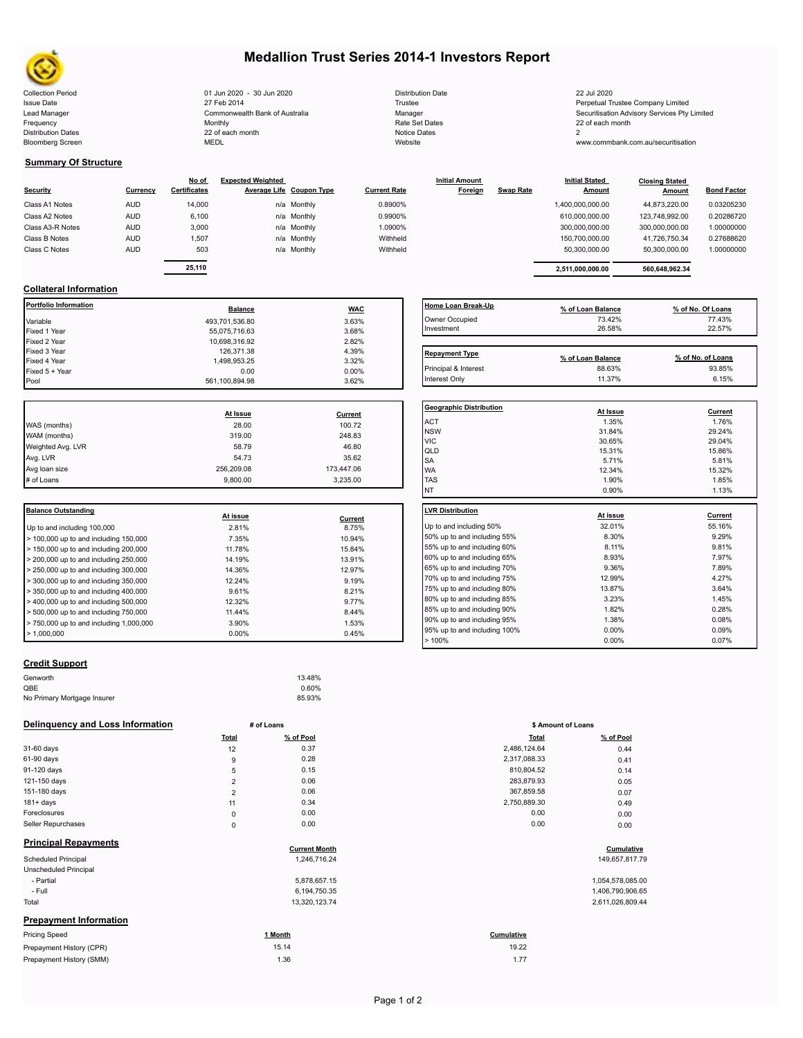

Bloomberg Screen

# **Medallion Trust Series 2014-1 Investors Report**

Collection Period Collection Date 22 Jul 2020 - 30 Jun 2020 - 20 Jun 2020 Distribution Date 20 Jul 2020 22 Jul 2020 Issue Date **Trustee Company Limited** 27 Feb 2014 27 Feb 2014 **Trustee Trustee Company Limited** Perpetual Trustee Company Limited Lead Manager **Manager** Securitisation Advisory Services Pty Limited Commonwealth Bank of Australia Manager Manager Securitisation Advisory Services Pty Limited Frequency 22 of each month Monthly Monthly Rate Set Dates Rate Set Dates 22 of each month Distribution Dates **Notice 2** and the control of the 22 of each month **Notice Dates** Notice Dates 2 27 Feb 2014 Commonwealth Bank of Australia Monthly 22 of each month

| <b>Distribution Date</b> |
|--------------------------|
| Trustee                  |
| Manager                  |
| Rate Set Dates           |
| Notice Dates             |
| Website                  |

www.commbank.com.au/securitisation

# **Summary Of Structure**

| <b>Security</b>  | Currency   | No of<br><b>Certificates</b> | <b>Expected Weighted</b><br>Average Life Coupon Type | <b>Current Rate</b> | <b>Initial Amount</b><br>Foreign | <b>Swap Rate</b> | <b>Initial Stated</b><br><b>Amount</b> | <b>Closing Stated</b><br>Amount | <b>Bond Factor</b> |
|------------------|------------|------------------------------|------------------------------------------------------|---------------------|----------------------------------|------------------|----------------------------------------|---------------------------------|--------------------|
| Class A1 Notes   | <b>AUD</b> | 14,000                       | n/a Monthly                                          | 0.8900%             |                                  |                  | 1,400,000,000.00                       | 44.873.220.00                   | 0.03205230         |
| Class A2 Notes   | <b>AUD</b> | 6,100                        | n/a Monthly                                          | 0.9900%             |                                  |                  | 610.000.000.00                         | 123.748.992.00                  | 0.20286720         |
| Class A3-R Notes | <b>AUD</b> | 3,000                        | n/a Monthly                                          | 1.0900%             |                                  |                  | 300,000,000.00                         | 300,000,000.00                  | 1.00000000         |
| Class B Notes    | <b>AUD</b> | 1.507                        | n/a Monthly                                          | Withheld            |                                  |                  | 150,700,000.00                         | 41,726,750.34                   | 0.27688620         |
| Class C Notes    | <b>AUD</b> | 503                          | n/a Monthly                                          | Withheld            |                                  |                  | 50.300.000.00                          | 50.300.000.00                   | 1.00000000         |
|                  |            | 25.110                       |                                                      |                     |                                  |                  |                                        |                                 |                    |
|                  |            |                              |                                                      |                     |                                  |                  | 2.511.000.000.00                       | 560.648.962.34                  |                    |

# **Collateral Information**

| Portfolio Information | <b>Balance</b> | <b>WAC</b> | Home Loan Break-Up    | % of Loan Balance | % of No. Of Loans |
|-----------------------|----------------|------------|-----------------------|-------------------|-------------------|
| Variable              | 493,701,536.80 | 3.63%      | Owner Occupied        | 73.42%            | 77.43%            |
| Fixed 1 Year          | 55.075.716.63  | 3.68%      | Investment            | 26.58%            | 22.57%            |
| Fixed 2 Year          | 10,698,316.92  | 2.82%      |                       |                   |                   |
| Fixed 3 Year          | 126,371.38     | 4.39%      | <b>Repayment Type</b> |                   |                   |
| Fixed 4 Year          | 1,498,953.25   | 3.32%      |                       | % of Loan Balance | % of No. of Loans |
| Fixed 5 + Year        | 0.00           | $0.00\%$   | Principal & Interest  | 88.63%            | 93.85%            |
| Pool                  | 561.100.894.98 | 3.62%      | Interest Only         | 11.37%            | 6.15%             |

|            |            | Geo              |
|------------|------------|------------------|
| At Issue   | Current    |                  |
| 28.00      | 100.72     | AC <sup>-</sup>  |
| 319.00     | 248.83     | <b>NS</b><br>VIC |
| 58.79      | 46.80      | QLI              |
| 54.73      | 35.62      | <b>SA</b>        |
| 256,209.08 | 173,447.06 | <b>WA</b>        |
| 9.800.00   | 3.235.00   | <b>TAS</b>       |
|            |            |                  |

| <b>Balance Outstanding</b>                                | At issue |         | LVR Distribution    |
|-----------------------------------------------------------|----------|---------|---------------------|
|                                                           |          | Current |                     |
| Up to and including 100,000                               | 2.81%    | 8.75%   | Up to and including |
| $>$ 100,000 up to and including 150,000                   | 7.35%    | 10.94%  | 50% up to and incl  |
| $>$ 150,000 up to and including 200,000                   | 11.78%   | 15.84%  | 55% up to and incl  |
| $>$ 200,000 up to and including 250,000                   | 14.19%   | 13.91%  | 60% up to and incl  |
| $\geq$ 250,000 up to and including 300,000                | 14.36%   | 12.97%  | 65% up to and incl  |
| $>$ 300,000 up to and including 350,000                   | 12.24%   | 9.19%   | 70% up to and incl  |
| $\blacktriangleright$ 350,000 up to and including 400,000 | 9.61%    | 8.21%   | 75% up to and incl  |
|                                                           |          |         | 80% up to and incl  |
| $>$ 400,000 up to and including 500,000                   | 12.32%   | 9.77%   |                     |
| $>$ 500,000 up to and including 750,000                   | 11.44%   | 8.44%   | 85% up to and incl  |
| $> 750,000$ up to and including 1,000,000                 | 3.90%    | 1.53%   | 90% up to and incl  |
| $\blacktriangleright$ 1.000.000                           | $0.00\%$ | 0.45%   | 95% up to and incl  |
|                                                           |          |         |                     |

# **Geographic Distribution At Issue Current**  $\,$  ACT  $\,$  1.35% 1.76% 1.76% 1.76% 1.76% 1.76% 1.76% 1.76% 1.76% 1.76% 1.76% 1.76% 1.76% 1.76% 1.76% 1.76% 1.76% 1.76% 1.76% 1.76% 1.75% 1.75% 1.75% 1.75% 1.75% 1.75% 1.75% 1.75% 1.75% 1.75% 1.75% 1.75% 1.75% 1.75% 1.7 NSW  $31.84\%$   $29.24\%$ VIC  $29.04\%$  29.04% QLD 15.31% 15.86%  $5.71\%$  5.71% 5.81% 5.81% **Repayment Type % of Loan Balance % of No. of Loans** Interest Only 11.37% 6.15% 6.15% 6.15% 6.15% 6.15% 6.15% 6.15% 6.15% 6.15% 6.15% 6.15% 6.15% 6.15% 6.15% 6.15%

| <b>TAS</b>                   | 1.90%    | 1.85%   |
|------------------------------|----------|---------|
| <b>NT</b>                    | 0.90%    | 1.13%   |
| <b>LVR Distribution</b>      |          |         |
|                              | At issue | Current |
| Up to and including 50%      | 32.01%   | 55.16%  |
| 50% up to and including 55%  | 8.30%    | 9.29%   |
| 55% up to and including 60%  | 8.11%    | 9.81%   |
| 60% up to and including 65%  | 8.93%    | 7.97%   |
| 65% up to and including 70%  | 9.36%    | 7.89%   |
| 70% up to and including 75%  | 12.99%   | 4.27%   |
| 75% up to and including 80%  | 13.87%   | 3.64%   |
| 80% up to and including 85%  | 3.23%    | 1.45%   |
| 85% up to and including 90%  | 1.82%    | 0.28%   |
| 90% up to and including 95%  | 1.38%    | 0.08%   |
| 95% up to and including 100% | $0.00\%$ | 0.09%   |
| >100%                        | $0.00\%$ | 0.07%   |
|                              |          |         |

WA 12.34% 12.34% 15.32% P

# **Credit Support**

| Genworth                    | 13.48% |
|-----------------------------|--------|
| QBE                         | 0.60%  |
| No Primary Mortgage Insurer | 85.93% |

# **Delinquency and Loss Information # of Loans**

|                               | <b>Total</b>   | % of Pool            | <b>Total</b> | % of Pool        |
|-------------------------------|----------------|----------------------|--------------|------------------|
| 31-60 days                    | 12             | 0.37                 | 2,486,124.64 | 0.44             |
| 61-90 days                    | 9              | 0.28                 | 2,317,088.33 | 0.41             |
| 91-120 days                   | 5              | 0.15                 | 810,804.52   | 0.14             |
| 121-150 days                  | $\overline{2}$ | 0.06                 | 283,879.93   | 0.05             |
| 151-180 days                  | $\overline{2}$ | 0.06                 | 367,859.58   | 0.07             |
| $181 + days$                  | 11             | 0.34                 | 2,750,889.30 | 0.49             |
| Foreclosures                  | $\pmb{0}$      | 0.00                 | 0.00         | 0.00             |
| Seller Repurchases            | $\pmb{0}$      | 0.00                 | 0.00         | 0.00             |
| <b>Principal Repayments</b>   |                | <b>Current Month</b> |              | Cumulative       |
| Scheduled Principal           |                | 1,246,716.24         |              | 149,657,817.79   |
| <b>Unscheduled Principal</b>  |                |                      |              |                  |
| - Partial                     |                | 5,878,657.15         |              | 1,054,578,085.00 |
| - Full                        |                | 6,194,750.35         |              | 1,406,790,906.65 |
| Total                         |                | 13,320,123.74        |              | 2,611,026,809.44 |
| <b>Prepayment Information</b> |                |                      |              |                  |
| <b>Pricing Speed</b>          |                | 1 Month              | Cumulative   |                  |
| Prepayment History (CPR)      |                | 15.14                | 19.22        |                  |
| Prepayment History (SMM)      |                | 1.36                 | 1.77         |                  |

| # of Loans     |                      | \$ Amount of Loans |                |
|----------------|----------------------|--------------------|----------------|
| Total          | % of Pool            | Total              | % of Pool      |
| 12             | 0.37                 | 2,486,124.64       | 0.44           |
| 9              | 0.28                 | 2,317,088.33       | 0.41           |
| 5              | 0.15                 | 810,804.52         | 0.14           |
| $\overline{2}$ | 0.06                 | 283,879.93         | 0.05           |
| $\overline{2}$ | 0.06                 | 367,859.58         | 0.07           |
| 11             | 0.34                 | 2,750,889.30       | 0.49           |
| 0              | 0.00                 | 0.00               | 0.00           |
| 0              | 0.00                 | 0.00               | 0.00           |
|                | <b>Current Month</b> |                    | Cumulative     |
|                | 1,246,716.24         |                    | 149,657,817.79 |